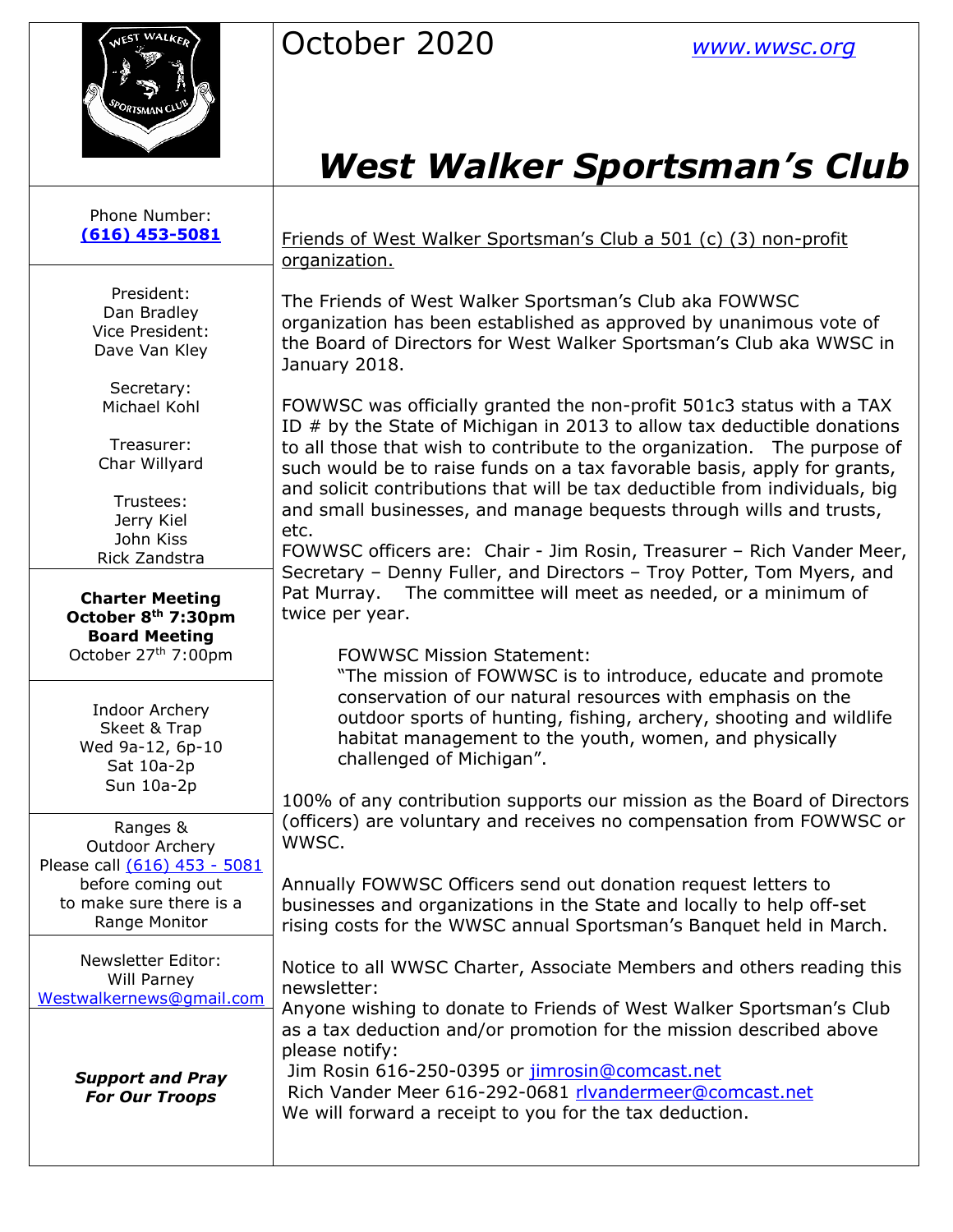

October 2020 *[www.wwsc.org](http://www.wwsc.org/)*

## *West Walker Sportsman's Club*

|  | Phone Number:<br>$(616)$ 453-5081                                                     | Friends of West Walker Sportsman's Club a 501 (c) (3) non-profit<br>organization.                                                                                                                                                                                                                                                                                                                                                                                                                                                                                                                                |  |  |  |  |
|--|---------------------------------------------------------------------------------------|------------------------------------------------------------------------------------------------------------------------------------------------------------------------------------------------------------------------------------------------------------------------------------------------------------------------------------------------------------------------------------------------------------------------------------------------------------------------------------------------------------------------------------------------------------------------------------------------------------------|--|--|--|--|
|  | President:<br>Dan Bradley<br>Vice President:<br>Dave Van Kley                         | The Friends of West Walker Sportsman's Club aka FOWWSC<br>organization has been established as approved by unanimous vote of<br>the Board of Directors for West Walker Sportsman's Club aka WWSC in<br>January 2018.<br>FOWWSC was officially granted the non-profit 501c3 status with a TAX<br>ID $#$ by the State of Michigan in 2013 to allow tax deductible donations<br>to all those that wish to contribute to the organization. The purpose of<br>such would be to raise funds on a tax favorable basis, apply for grants,<br>and solicit contributions that will be tax deductible from individuals, big |  |  |  |  |
|  | Secretary:<br>Michael Kohl<br>Treasurer:<br>Char Willyard<br>Trustees:                |                                                                                                                                                                                                                                                                                                                                                                                                                                                                                                                                                                                                                  |  |  |  |  |
|  | Jerry Kiel<br>John Kiss<br>Rick Zandstra<br><b>Charter Meeting</b>                    | and small businesses, and manage bequests through wills and trusts,<br>etc.<br>FOWWSC officers are: Chair - Jim Rosin, Treasurer - Rich Vander Meer,<br>Secretary - Denny Fuller, and Directors - Troy Potter, Tom Myers, and<br>Pat Murray. The committee will meet as needed, or a minimum of                                                                                                                                                                                                                                                                                                                  |  |  |  |  |
|  | October 8th 7:30pm<br><b>Board Meeting</b><br>October 27 <sup>th</sup> 7:00pm         | twice per year.<br><b>FOWWSC Mission Statement:</b><br>"The mission of FOWWSC is to introduce, educate and promote                                                                                                                                                                                                                                                                                                                                                                                                                                                                                               |  |  |  |  |
|  | <b>Indoor Archery</b><br>Skeet & Trap<br>Wed 9a-12, 6p-10<br>Sat 10a-2p<br>Sun 10a-2p | conservation of our natural resources with emphasis on the<br>outdoor sports of hunting, fishing, archery, shooting and wildlife<br>habitat management to the youth, women, and physically<br>challenged of Michigan".                                                                                                                                                                                                                                                                                                                                                                                           |  |  |  |  |
|  | Ranges &<br>Outdoor Archery<br>Please call (616) 453 - 5081                           | 100% of any contribution supports our mission as the Board of Directors<br>(officers) are voluntary and receives no compensation from FOWWSC or<br>WWSC.                                                                                                                                                                                                                                                                                                                                                                                                                                                         |  |  |  |  |
|  | before coming out<br>to make sure there is a<br>Range Monitor                         | Annually FOWWSC Officers send out donation request letters to<br>businesses and organizations in the State and locally to help off-set<br>rising costs for the WWSC annual Sportsman's Banquet held in March.                                                                                                                                                                                                                                                                                                                                                                                                    |  |  |  |  |
|  | Newsletter Editor:<br>Will Parney<br>Westwalkernews@gmail.com                         | Notice to all WWSC Charter, Associate Members and others reading this<br>newsletter:<br>Anyone wishing to donate to Friends of West Walker Sportsman's Club                                                                                                                                                                                                                                                                                                                                                                                                                                                      |  |  |  |  |
|  | <b>Support and Pray</b><br><b>For Our Troops</b>                                      | as a tax deduction and/or promotion for the mission described above<br>please notify:<br>Jim Rosin 616-250-0395 or jimrosin@comcast.net<br>Rich Vander Meer 616-292-0681 rlvandermeer@comcast.net<br>We will forward a receipt to you for the tax deduction.                                                                                                                                                                                                                                                                                                                                                     |  |  |  |  |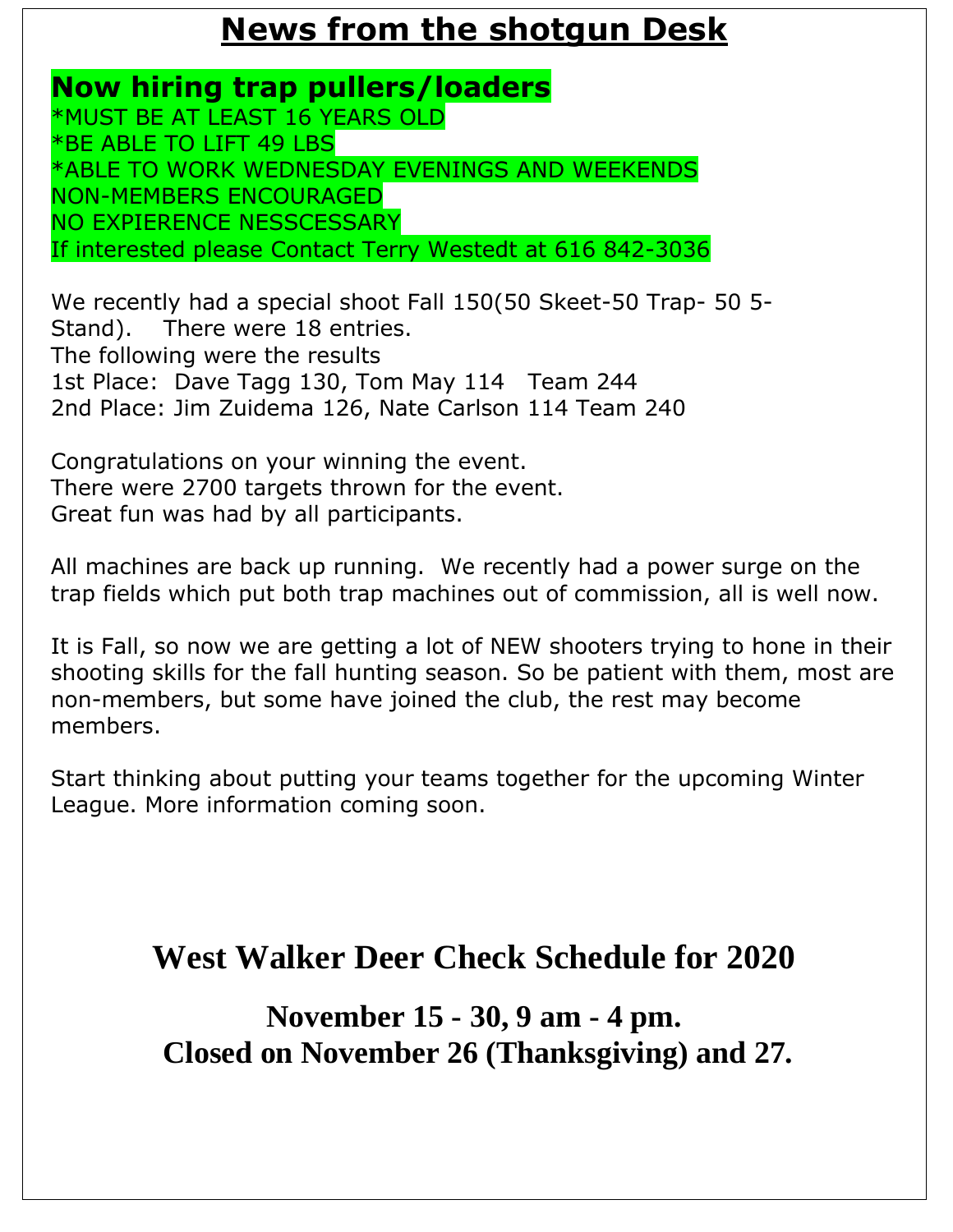## **News from the shotgun Desk**

**Now hiring trap pullers/loaders** \*MUST BE AT LEAST 16 YEARS OLD \*BE ABLE TO LIFT 49 LBS \*ABLE TO WORK WEDNESDAY EVENINGS AND WEEKENDS NON-MEMBERS ENCOURAGED NO EXPIERENCE NESSCESSARY If interested please Contact Terry Westedt at 616 842-3036

We recently had a special shoot Fall 150(50 Skeet-50 Trap- 50 5- Stand). There were 18 entries. The following were the results 1st Place: Dave Tagg 130, Tom May 114 Team 244 2nd Place: Jim Zuidema 126, Nate Carlson 114 Team 240

Congratulations on your winning the event. There were 2700 targets thrown for the event. Great fun was had by all participants.

All machines are back up running. We recently had a power surge on the trap fields which put both trap machines out of commission, all is well now.

It is Fall, so now we are getting a lot of NEW shooters trying to hone in their shooting skills for the fall hunting season. So be patient with them, most are non-members, but some have joined the club, the rest may become members.

Start thinking about putting your teams together for the upcoming Winter League. More information coming soon.

### **West Walker Deer Check Schedule for 2020**

**November 15 - 30, 9 am - 4 pm. Closed on November 26 (Thanksgiving) and 27.**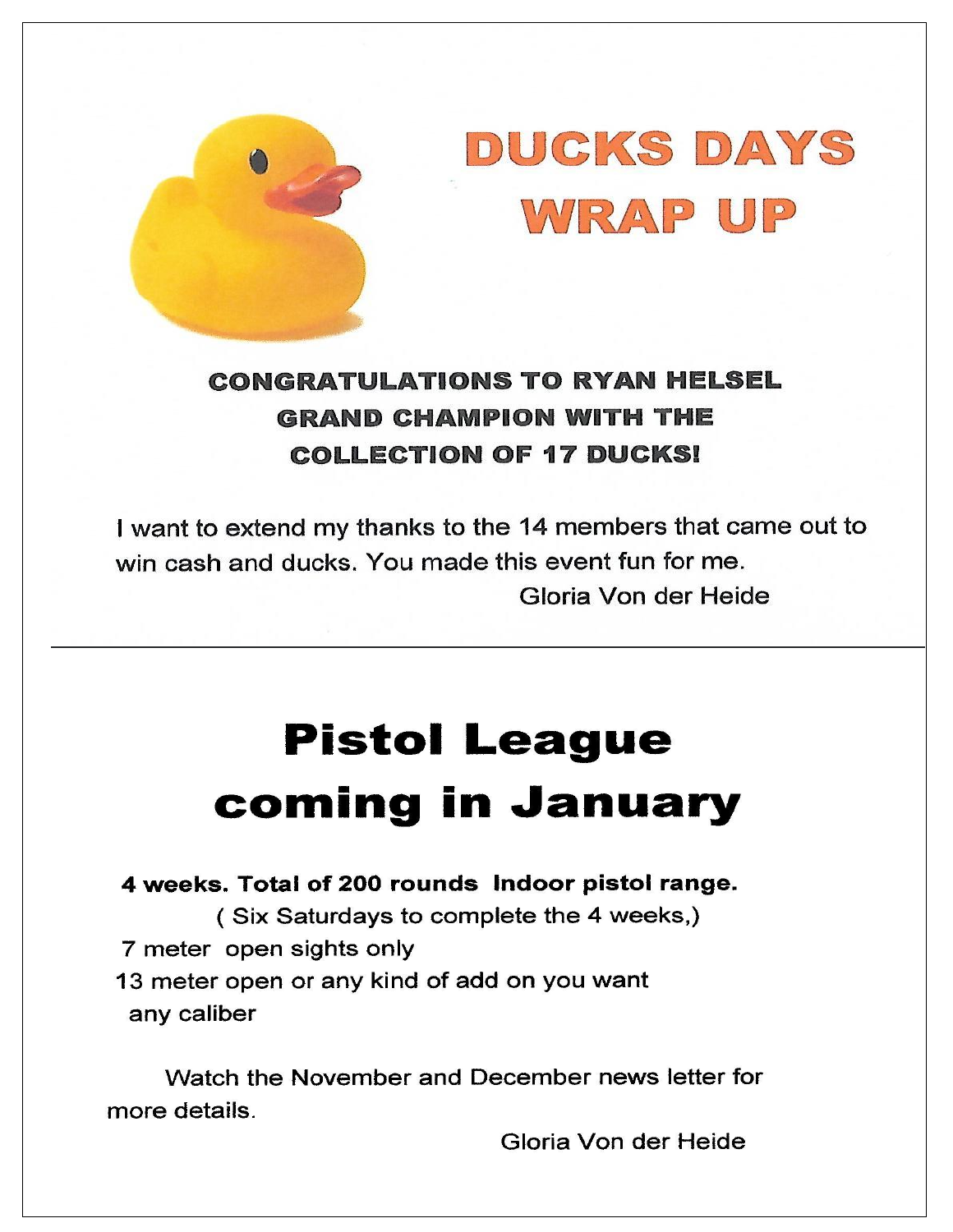

# DUCKS DAYS WRAP UP

### **CONGRATULATIONS TO RYAN HELSEL GRAND CHAMPION WITH THE COLLECTION OF 17 DUCKS!**

I want to extend my thanks to the 14 members that came out to win cash and ducks. You made this event fun for me. Gloria Von der Heide

## **Pistol League** coming in January

#### 4 weeks. Total of 200 rounds Indoor pistol range.

(Six Saturdays to complete the 4 weeks,)

- 7 meter open sights only
- 13 meter open or any kind of add on you want any caliber

Watch the November and December news letter for more details.

Gloria Von der Heide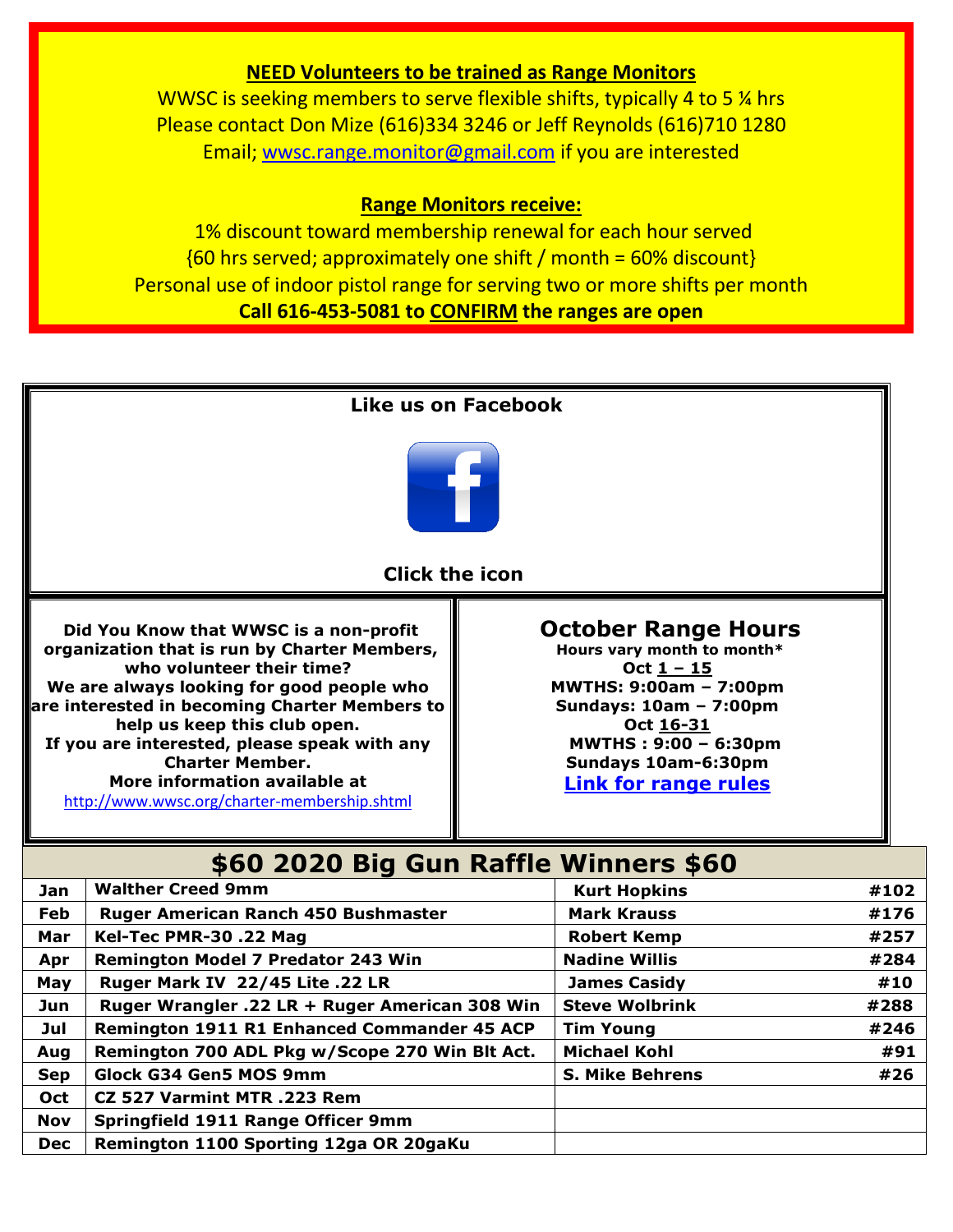#### **NEED Volunteers to be trained as Range Monitors**

WWSC is seeking members to serve flexible shifts, typically 4 to 5 % hrs Please contact Don Mize (616)334 3246 or Jeff Reynolds (616)710 1280 Email; [wwsc.range.monitor@gmail.com](mailto:wwsc.range.monitor@gmail.com) if you are interested

#### **Range Monitors receive:**

1% discount toward membership renewal for each hour served  ${60 \text{ hrs}$  served; approximately one shift / month = 60% discount} Personal use of indoor pistol range for serving two or more shifts per month **Call 616-453-5081 to CONFIRM the ranges are open**



**Oct CZ 527 Varmint MTR .223 Rem**

**Nov Springfield 1911 Range Officer 9mm** 

**Dec Remington 1100 Sporting 12ga OR 20gaKu**